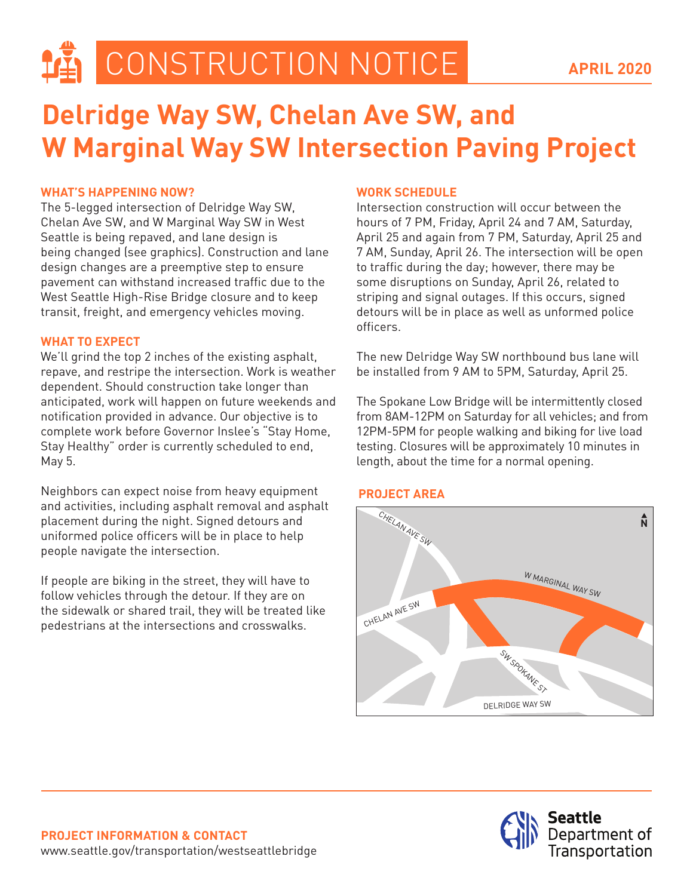**LA CONSTRUCTION NOTICE** 

# **Delridge Way SW, Chelan Ave SW, and W Marginal Way SW Intersection Paving Project**

## **WHAT'S HAPPENING NOW?**

The 5-legged intersection of Delridge Way SW, Chelan Ave SW, and W Marginal Way SW in West Seattle is being repaved, and lane design is being changed (see graphics). Construction and lane design changes are a preemptive step to ensure pavement can withstand increased traffic due to the West Seattle High-Rise Bridge closure and to keep transit, freight, and emergency vehicles moving.

#### **WHAT TO EXPECT**

We'll grind the top 2 inches of the existing asphalt, repave, and restripe the intersection. Work is weather dependent. Should construction take longer than anticipated, work will happen on future weekends and notification provided in advance. Our objective is to complete work before Governor Inslee's "Stay Home, Stay Healthy" order is currently scheduled to end, May 5.

Neighbors can expect noise from heavy equipment and activities, including asphalt removal and asphalt placement during the night. Signed detours and uniformed police officers will be in place to help people navigate the intersection.

If people are biking in the street, they will have to follow vehicles through the detour. If they are on the sidewalk or shared trail, they will be treated like pedestrians at the intersections and crosswalks.

#### **WORK SCHEDULE**

Intersection construction will occur between the hours of 7 PM, Friday, April 24 and 7 AM, Saturday, April 25 and again from 7 PM, Saturday, April 25 and 7 AM, Sunday, April 26. The intersection will be open to traffic during the day; however, there may be some disruptions on Sunday, April 26, related to striping and signal outages. If this occurs, signed detours will be in place as well as unformed police officers.

The new Delridge Way SW northbound bus lane will be installed from 9 AM to 5PM, Saturday, April 25.

The Spokane Low Bridge will be intermittently closed from 8AM-12PM on Saturday for all vehicles; and from 12PM-5PM for people walking and biking for live load testing. Closures will be approximately 10 minutes in length, about the time for a normal opening.

## **PROJECT AREA**